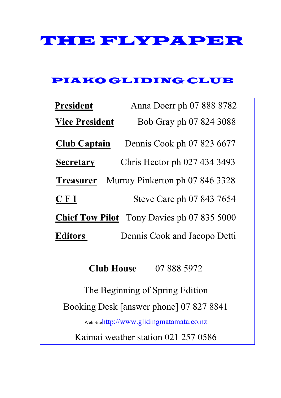# THE FLYPAPER

#### PIAKO GLIDING CLUB

| <b>President</b>                                    | Anna Doerr ph 07 888 8782    |  |  |  |  |  |
|-----------------------------------------------------|------------------------------|--|--|--|--|--|
| <b>Vice President</b>                               | Bob Gray ph 07 824 3088      |  |  |  |  |  |
| <b>Club Captain</b>                                 | Dennis Cook ph 07 823 6677   |  |  |  |  |  |
| <b>Secretary</b>                                    | Chris Hector ph 027 434 3493 |  |  |  |  |  |
| Murray Pinkerton ph 07 846 3328<br><b>Treasurer</b> |                              |  |  |  |  |  |
| CFI                                                 | Steve Care ph 07 843 7654    |  |  |  |  |  |
| <b>Chief Tow Pilot</b> Tony Davies ph 07 835 5000   |                              |  |  |  |  |  |
| <b>Editors</b>                                      | Dennis Cook and Jacopo Detti |  |  |  |  |  |
| 07 888 5972<br><b>Club House</b>                    |                              |  |  |  |  |  |
| The Beginning of Spring Edition                     |                              |  |  |  |  |  |
| Booking Desk [answer phone] 07 827 8841             |                              |  |  |  |  |  |
| Web Sitehttp://www.glidingmatamata.co.nz            |                              |  |  |  |  |  |
| Kaimai weather station 021 257 0586                 |                              |  |  |  |  |  |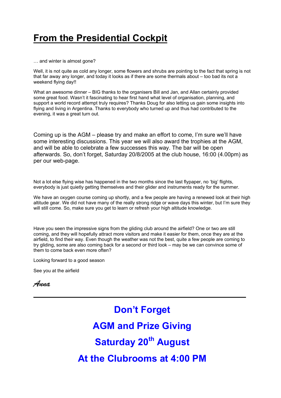### **From the Presidential Cockpit**

… and winter is almost gone?

Well, it is not quite as cold any longer, some flowers and shrubs are pointing to the fact that spring is not that far away any longer, and today it looks as if there are some thermals about – too bad its not a weekend flying day!!

What an awesome dinner – BIG thanks to the organisers Bill and Jan, and Allan certainly provided some great food. Wasn't it fascinating to hear first hand what level of organisation, planning, and support a world record attempt truly requires? Thanks Doug for also letting us gain some insights into flying and living in Argentina. Thanks to everybody who turned up and thus had contributed to the evening, it was a great turn out.

Coming up is the AGM – please try and make an effort to come, I'm sure we'll have some interesting discussions. This year we will also award the trophies at the AGM, and will be able to celebrate a few successes this way. The bar will be open afterwards. So, don't forget, Saturday 20/8/2005 at the club house, 16:00 (4.00pm) as per our web-page.

Not a lot else flying wise has happened in the two months since the last flypaper, no 'big' flights, everybody is just quietly getting themselves and their glider and instruments ready for the summer.

We have an oxygen course coming up shortly, and a few people are having a renewed look at their high altitude gear. We did not have many of the really strong ridge or wave days this winter, but I'm sure they will still come. So, make sure you get to learn or refresh your high altitude knowledge.

Have you seen the impressive signs from the gliding club around the airfield? One or two are still coming, and they will hopefully attract more visitors and make it easier for them, once they are at the airfield, to find their way. Even though the weather was not the best, quite a few people are coming to try gliding, some are also coming back for a second or third look – may be we can convince some of them to come back even more often?

Looking forward to a good season

See you at the airfield

*Anna*

# **Don't Forget AGM and Prize Giving Saturday 20<sup>th</sup> August At the Clubrooms at 4:00 PM**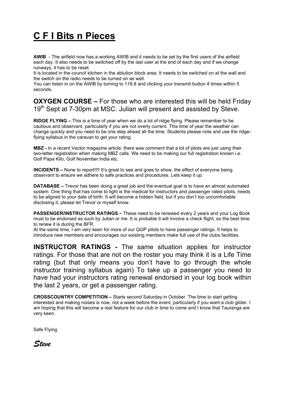# **C F I Bits n Pieces**

**AWIB** - The airfield now has a working AWIB and it needs to be set by the first users of the airfield each day. It also needs to be switched off by the last user at the end of each day and if we change runways, it has to be reset.

It is located in the council kitchen in the ablution block area. It needs to be switched on at the wall and the switch on the radio needs to be turned on as well.

You can listen in on the AWIB by turning to 118.8 and clicking your transmit button 4 times within 5 seconds.

**OXYGEN COURSE –** For those who are interested this will be held Friday 19<sup>th</sup> Sept at 7-30pm at MSC. Julian will present and assisted by Steve.

**RIDGE FLYING –** This is a time of year when we do a lot of ridge flying. Please remember to be cautious and observant, particularly if you are not overly current. This time of year the weather can change quickly and you need to be one step ahead all the time. Students please note and use the ridgeflying syllabus in the caravan to get your rating.

**MBZ -** In a recent Vector magazine article, there was comment that a lot of pilots are just using their two-letter registration when making MBZ calls. We need to be making our full registration known i.e. Golf Papa Kilo, Golf November India etc.

**INCIDENTS –** None to report!!!! It's great to see and goes to show, the effect of everyone being observant to ensure we adhere to safe practices and procedures. Lets keep it up.

**DATABASE –** Trevor has been doing a great job and the eventual goal is to have an almost automated system. One thing that has come to light is the medical for instructors and passenger rated pilots, needs to be aligned to your date of birth. It will become a hidden field, but if you don't too uncomfortable disclosing it, please let Trevor or myself know.

**PASSENGER/INSTRUCTOR RATINGS –** These need to be renewed every 2 years and your Log Book must to be endorsed as such by Julian or me. It is probable it will involve a check flight, so the best time to renew it is during the BFR.

At the same time, I am very keen for more of our QGP pilots to have passenger ratings. It helps to introduce new members and encourages our existing members make full use of the clubs facilities.

**INSTRUCTOR RATINGS -** The same situation applies for instructor ratings. For those that are not on the roster you may think it is a Life Time rating (but that only means you don't have to go through the whole instructor training syllabus again) To take up a passenger you need to have had your instructors rating renewal endorsed in your log book within the last 2 years, or get a passenger rating.

**CROSSCOUNTRY COMPETITION –** Starts second Saturday in October. The time to start getting interested and making noises is now, not a week before the event, particularly if you want a club glider. I am hoping that this will become a real feature for our club in time to come and I know that Tauranga are very keen.

Safe Flying

*Steve*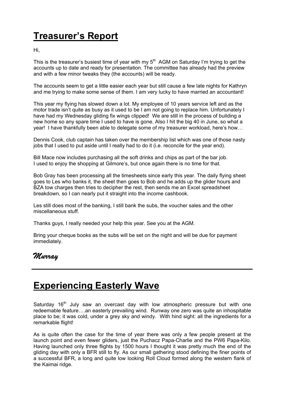# **Treasurer's Report**

Hi,

This is the treasurer's busiest time of year with my  $5<sup>th</sup>$  AGM on Saturday I'm trying to get the accounts up to date and ready for presentation. The committee has already had the preview and with a few minor tweaks they (the accounts) will be ready.

The accounts seem to get a little easier each year but still cause a few late nights for Kathryn and me trying to make some sense of them. I am very lucky to have married an accountant!

This year my flying has slowed down a lot. My employee of 10 years service left and as the motor trade isn't quite as busy as it used to be I am not going to replace him. Unfortunately I have had my Wednesday gliding fix wings clipped! We are still in the process of building a new home so any spare time I used to have is gone. Also I hit the big 40 in June, so what a year! I have thankfully been able to delegate some of my treasurer workload, here's how…

Dennis Cook, club captain has taken over the membership list which was one of those nasty jobs that I used to put aside until I really had to do it (i.e. reconcile for the year end).

Bill Mace now includes purchasing all the soft drinks and chips as part of the bar job. I used to enjoy the shopping at Gilmore's, but once again there is no time for that.

Bob Gray has been processing all the timesheets since early this year. The daily flying sheet goes to Les who banks it, the sheet then goes to Bob and he adds up the glider hours and BZA tow charges then tries to decipher the rest, then sends me an Excel spreadsheet breakdown, so I can nearly put it straight into the income cashbook.

Les still does most of the banking, I still bank the subs, the voucher sales and the other miscellaneous stuff.

Thanks guys, I really needed your help this year. See you at the AGM.

Bring your cheque books as the subs will be set on the night and will be due for payment immediately.

#### *Murray*

#### **Experiencing Easterly Wave**

Saturday 16<sup>th</sup> July saw an overcast day with low atmospheric pressure but with one redeemable feature….an easterly prevailing wind. Runway one zero was quite an inhospitable place to be; it was cold, under a grey sky and windy. With hind sight: all the ingredients for a remarkable flight!

As is quite often the case for the time of year there was only a few people present at the launch point and even fewer gliders, just the Puchacz Papa-Charlie and the PW6 Papa-Kilo. Having launched only three flights by 1500 hours I thought it was pretty much the end of the gliding day with only a BFR still to fly. As our small gathering stood defining the finer points of a successful BFR, a long and quite low looking Roll Cloud formed along the western flank of the Kaimai ridge.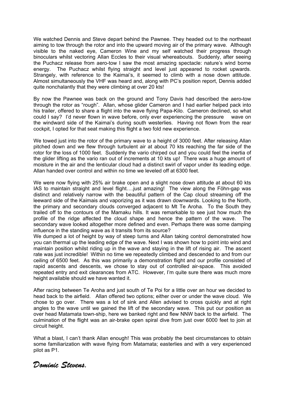We watched Dennis and Steve depart behind the Pawnee. They headed out to the northeast aiming to tow through the rotor and into the upward moving air of the primary wave. Although visible to the naked eye, Cameron Wine and my self watched their progress through binoculars whilst vectoring Allan Eccles to their visual whereabouts. Suddenly, after seeing the Puchacz release from aero-tow I saw the most amazing spectacle: nature's wind borne energy. The Puchacz whilst flying straight and level just appeared to rocket upwards. Strangely, with reference to the Kaimai's, it seemed to climb with a nose down attitude. Almost simultaneously the VHF was heard and, along with PC's position report, Dennis added quite nonchalantly that they were climbing at over 20 kts!

By now the Pawnee was back on the ground and Tony Davis had described the aero-tow through the rotor as "rough". Allan, whose glider Cameron and I had earlier helped pack into his trailer, offered to share a flight into the wave flying Papa-Kilo. Cameron declined, so what could I say? I'd never flown in wave before, only ever experiencing the pressure wave on the windward side of the Kaimai's during south westerlies. Having not flown from the rear cockpit, I opted for that seat making this flight a two fold new experience.

We towed just into the rotor of the primary wave to a height of 3000 feet. After releasing Allan pitched down and we flew through turbulent air at about 70 kts reaching the far side of the rotor for the loss of 1000 feet. Suddenly the vario chirped out and you could feel the inertia of the glider lifting as the vario ran out of increments at 10 kts up! There was a huge amount of moisture in the air and the lenticular cloud had a distinct swirl of vapor under its leading edge. Allan handed over control and within no time we leveled off at 6300 feet.

We were now flying with 25% air brake open and a slight nose down attitude at about 60 kts IAS to maintain straight and level flight….just amazing! The view along the Föhn-gap was distinct and relatively narrow with the beautiful pattern of the Cap cloud streaming off the leeward side of the Kaimais and vaporizing as it was drawn downwards. Looking to the North, the primary and secondary clouds converged adjacent to Mt Te Aroha. To the South they trailed off to the contours of the Mamaku hills. It was remarkable to see just how much the profile of the ridge affected the cloud shape and hence the pattern of the wave. The secondary wave looked altogether more defined and even. Perhaps there was some damping influence in the standing wave as it transits from its source?

We dumped a lot of height by way of steep turns and Allan taking control demonstrated how you can thermal up the leading edge of the wave. Next I was shown how to point into wind and maintain position whilst riding up in the wave and staying in the lift of rising air. The ascent rate was just incredible! Within no time we repeatedly climbed and descended to and from our ceiling of 6500 feet. As this was primarily a demonstration flight and our profile consisted of rapid ascents and descents, we chose to stay out of controlled air-space. This avoided repeated entry and exit clearances from ATC. However, I'm quite sure there was much more height available should we have wanted it.

After racing between Te Aroha and just south of Te Poi for a little over an hour we decided to head back to the airfield. Allan offered two options; either over or under the wave cloud. We chose to go over. There was a lot of sink and Allen advised to cross quickly and at right angles to the wave until we gained the lift of the secondary wave. This put our position as over head Matamata town-ship, here we banked right and flew NNW back to the airfield. The culmination of the flight was an air-brake open spiral dive from just over 6000 feet to join at circuit height.

What a blast, I can't thank Allan enough! This was probably the best circumstances to obtain some familiarization with wave flying from Matamata; easterlies and with a very experienced pilot as P1.

*Dominic Stevens.*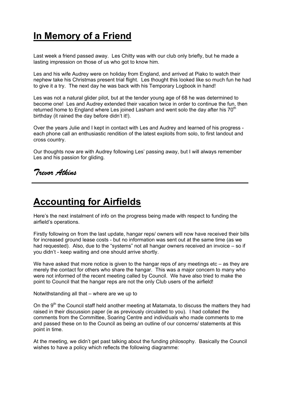### **In Memory of a Friend**

Last week a friend passed away. Les Chitty was with our club only briefly, but he made a lasting impression on those of us who got to know him.

Les and his wife Audrey were on holiday from England, and arrived at Piako to watch their nephew take his Christmas present trial flight. Les thought this looked like so much fun he had to give it a try. The next day he was back with his Temporary Logbook in hand!

Les was not a natural glider pilot, but at the tender young age of 68 he was determined to become one! Les and Audrey extended their vacation twice in order to continue the fun, then returned home to England where Les joined Lasham and went solo the day after his 70<sup>th</sup> birthday (it rained the day before didn't it!).

Over the years Julie and I kept in contact with Les and Audrey and learned of his progress each phone call an enthusiastic rendition of the latest exploits from solo, to first landout and cross country.

Our thoughts now are with Audrey following Les' passing away, but I will always remember Les and his passion for gliding.

#### *Trevor Atkins*

#### **Accounting for Airfields**

Here's the next instalment of info on the progress being made with respect to funding the airfield's operations.

Firstly following on from the last update, hangar reps/ owners will now have received their bills for increased ground lease costs - but no information was sent out at the same time (as we had requested). Also, due to the "systems" not all hangar owners received an invoice – so if you didn't - keep waiting and one should arrive shortly.

We have asked that more notice is given to the hangar reps of any meetings etc – as they are merely the contact for others who share the hangar. This was a major concern to many who were not informed of the recent meeting called by Council. We have also tried to make the point to Council that the hangar reps are not the only Club users of the airfield!

Notwithstanding all that – where are we up to

On the  $9<sup>th</sup>$  the Council staff held another meeting at Matamata, to discuss the matters they had raised in their discussion paper (ie as previously circulated to you). I had collated the comments from the Committee, Soaring Centre and individuals who made comments to me and passed these on to the Council as being an outline of our concerns/ statements at this point in time.

At the meeting, we didn't get past talking about the funding philosophy. Basically the Council wishes to have a policy which reflects the following diagramme: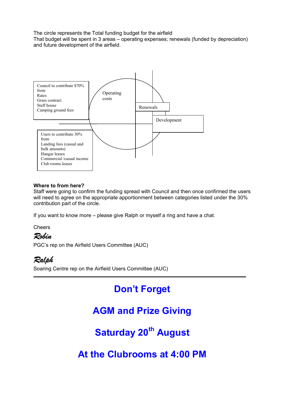The circle represents the Total funding budget for the airfield

That budget will be spent in 3 areas – operating expenses; renewals (funded by depreciation) and future development of the airfield.



#### **Where to from here?**

Staff were going to confirm the funding spread with Council and then once confirmed the users will need to agree on the appropriate apportionment between categories listed under the 30% contribution part of the circle.

If you want to know more – please give Ralph or myself a ring and have a chat.

**Cheers** 

#### *Robin*

PGC's rep on the Airfield Users Committee (AUC)

*Ralph* Soaring Centre rep on the Airfield Users Committee (AUC)

## **Don't Forget**

#### **AGM and Prize Giving**

**Saturday 20<sup>th</sup> August** 

**At the Clubrooms at 4:00 PM**